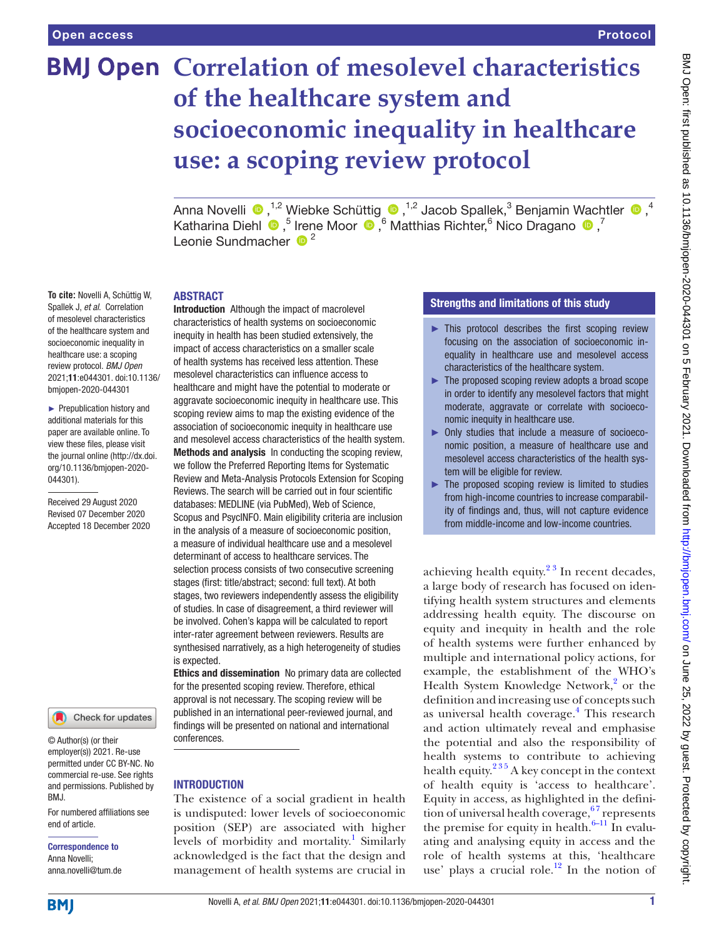**To cite:** Novelli A, Schüttig W, Spallek J, *et al*. Correlation of mesolevel characteristics of the healthcare system and socioeconomic inequality in healthcare use: a scoping review protocol. *BMJ Open* 2021;11:e044301. doi:10.1136/ bmjopen-2020-044301 ► Prepublication history and additional materials for this paper are available online. To view these files, please visit the journal online (http://dx.doi. org/10.1136/bmjopen-2020-

# **BMJ Open Correlation of mesolevel characteristics of the healthcare system and socioeconomic inequality in healthcare use: a scoping review protocol**

AnnaNovelli  $\bigcirc$  ,<sup>1,2</sup> Wiebke Schüttig  $\bigcirc$  ,<sup>1,2</sup> Jacob Spallek,<sup>3</sup> Benjamin Wachtler  $\bigcirc$  ,<sup>4</sup> KatharinaDiehl  $\bigcirc$ ,<sup>5</sup> Irene Moor  $\bigcirc$ ,<sup>6</sup> Matthias Richter,<sup>6</sup> Nico Dragano  $\bigcirc$ ,<sup>7</sup> Leonie Sundmacher  $\frac{1}{2}$ <sup>2</sup>

#### ABSTRACT

Introduction Although the impact of macrolevel characteristics of health systems on socioeconomic inequity in health has been studied extensively, the impact of access characteristics on a smaller scale of health systems has received less attention. These mesolevel characteristics can influence access to healthcare and might have the potential to moderate or aggravate socioeconomic inequity in healthcare use. This scoping review aims to map the existing evidence of the association of socioeconomic inequity in healthcare use and mesolevel access characteristics of the health system. Methods and analysis In conducting the scoping review, we follow the Preferred Reporting Items for Systematic Review and Meta-Analysis Protocols Extension for Scoping Reviews. The search will be carried out in four scientific databases: MEDLINE (via PubMed), Web of Science, Scopus and PsycINFO. Main eligibility criteria are inclusion in the analysis of a measure of socioeconomic position, a measure of individual healthcare use and a mesolevel determinant of access to healthcare services. The selection process consists of two consecutive screening stages (first: title/abstract; second: full text). At both stages, two reviewers independently assess the eligibility of studies. In case of disagreement, a third reviewer will be involved. Cohen's kappa will be calculated to report inter-rater agreement between reviewers. Results are synthesised narratively, as a high heterogeneity of studies is expected.

Ethics and dissemination No primary data are collected for the presented scoping review. Therefore, ethical approval is not necessary. The scoping review will be published in an international peer-reviewed journal, and findings will be presented on national and international conferences.

# INTRODUCTION

The existence of a social gradient in health is undisputed: lower levels of socioeconomic position (SEP) are associated with higher levels of morbidity and mortality.<sup>[1](#page-5-0)</sup> Similarly acknowledged is the fact that the design and management of health systems are crucial in

#### Strengths and limitations of this study

- $\blacktriangleright$  This protocol describes the first scoping review focusing on the association of socioeconomic inequality in healthcare use and mesolevel access characteristics of the healthcare system.
- ► The proposed scoping review adopts a broad scope in order to identify any mesolevel factors that might moderate, aggravate or correlate with socioeconomic inequity in healthcare use.
- ► Only studies that include a measure of socioeconomic position, a measure of healthcare use and mesolevel access characteristics of the health system will be eligible for review.
- $\blacktriangleright$  The proposed scoping review is limited to studies from high-income countries to increase comparability of findings and, thus, will not capture evidence from middle-income and low-income countries.

achieving health equity. $2<sup>3</sup>$  In recent decades, a large body of research has focused on identifying health system structures and elements addressing health equity. The discourse on equity and inequity in health and the role of health systems were further enhanced by multiple and international policy actions, for example, the establishment of the WHO's Health System Knowledge Network,<sup>[2](#page-5-1)</sup> or the definition and increasing use of concepts such as universal health coverage.<sup>4</sup> This research and action ultimately reveal and emphasise the potential and also the responsibility of health systems to contribute to achieving health equity. $2^{35}$  A key concept in the context of health equity is 'access to healthcare'. Equity in access, as highlighted in the definition of universal health coverage,  $67$  represents the premise for equity in health. $6-11$  In evaluating and analysing equity in access and the role of health systems at this, 'healthcare use' plays a crucial role.<sup>12</sup> In the notion of

044301).

Received 29 August 2020 Revised 07 December 2020 Accepted 18 December 2020

employer(s)) 2021. Re-use permitted under CC BY-NC. No commercial re-use. See rights and permissions. Published by BMJ.

Check for updates

For numbered affiliations see end of article.

#### Correspondence to Anna Novelli; anna.novelli@tum.de

**BMI**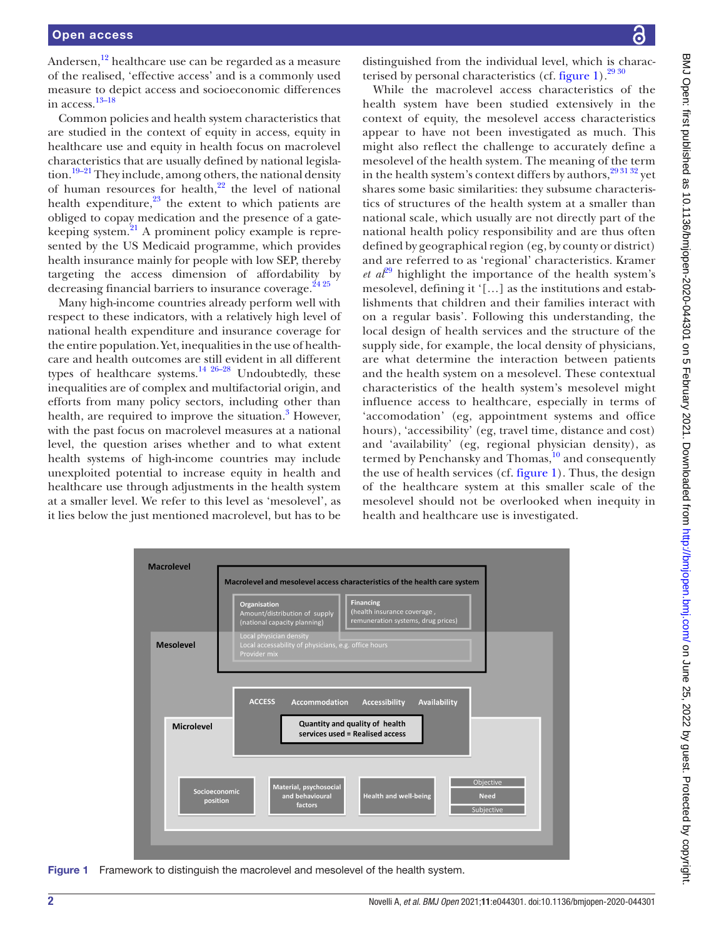Andersen, $^{12}$  healthcare use can be regarded as a measure of the realised, 'effective access' and is a commonly used measure to depict access and socioeconomic differences in access.[13–18](#page-5-5)

Common policies and health system characteristics that are studied in the context of equity in access, equity in healthcare use and equity in health focus on macrolevel characteristics that are usually defined by national legislation.<sup>19–21</sup> They include, among others, the national density of human resources for health, $2^2$  the level of national health expenditure, $^{23}$  the extent to which patients are obliged to copay medication and the presence of a gatekeeping system. $^{21}$  A prominent policy example is represented by the US Medicaid programme, which provides health insurance mainly for people with low SEP, thereby targeting the access dimension of affordability by decreasing financial barriers to insurance coverage. $2425$ 

Many high-income countries already perform well with respect to these indicators, with a relatively high level of national health expenditure and insurance coverage for the entire population. Yet, inequalities in the use of healthcare and health outcomes are still evident in all different types of healthcare systems. $^{14}$   $^{26-28}$  Undoubtedly, these inequalities are of complex and multifactorial origin, and efforts from many policy sectors, including other than health, are required to improve the situation.<sup>[3](#page-5-7)</sup> However, with the past focus on macrolevel measures at a national level, the question arises whether and to what extent health systems of high-income countries may include unexploited potential to increase equity in health and healthcare use through adjustments in the health system at a smaller level. We refer to this level as 'mesolevel', as it lies below the just mentioned macrolevel, but has to be

distinguished from the individual level, which is characterised by personal characteristics (cf. [figure](#page-1-0) 1). $^{29\,30}$ 

While the macrolevel access characteristics of the health system have been studied extensively in the context of equity, the mesolevel access characteristics appear to have not been investigated as much. This might also reflect the challenge to accurately define a mesolevel of the health system. The meaning of the term in the health system's context differs by authors,  $293132$  yet shares some basic similarities: they subsume characteristics of structures of the health system at a smaller than national scale, which usually are not directly part of the national health policy responsibility and are thus often defined by geographical region (eg, by county or district) and are referred to as 'regional' characteristics. Kramer *et a*<sup>[29](#page-6-5)</sup> highlight the importance of the health system's mesolevel, defining it '[…] as the institutions and establishments that children and their families interact with on a regular basis'. Following this understanding, the local design of health services and the structure of the supply side, for example, the local density of physicians, are what determine the interaction between patients and the health system on a mesolevel. These contextual characteristics of the health system's mesolevel might influence access to healthcare, especially in terms of 'accomodation' (eg, appointment systems and office hours), 'accessibility' (eg, travel time, distance and cost) and 'availability' (eg, regional physician density), as termed by Penchansky and Thomas, $\frac{10}{10}$  $\frac{10}{10}$  $\frac{10}{10}$  and consequently the use of health services (cf. [figure](#page-1-0) 1). Thus, the design of the healthcare system at this smaller scale of the mesolevel should not be overlooked when inequity in health and healthcare use is investigated.



<span id="page-1-0"></span>Figure 1 Framework to distinguish the macrolevel and mesolevel of the health system.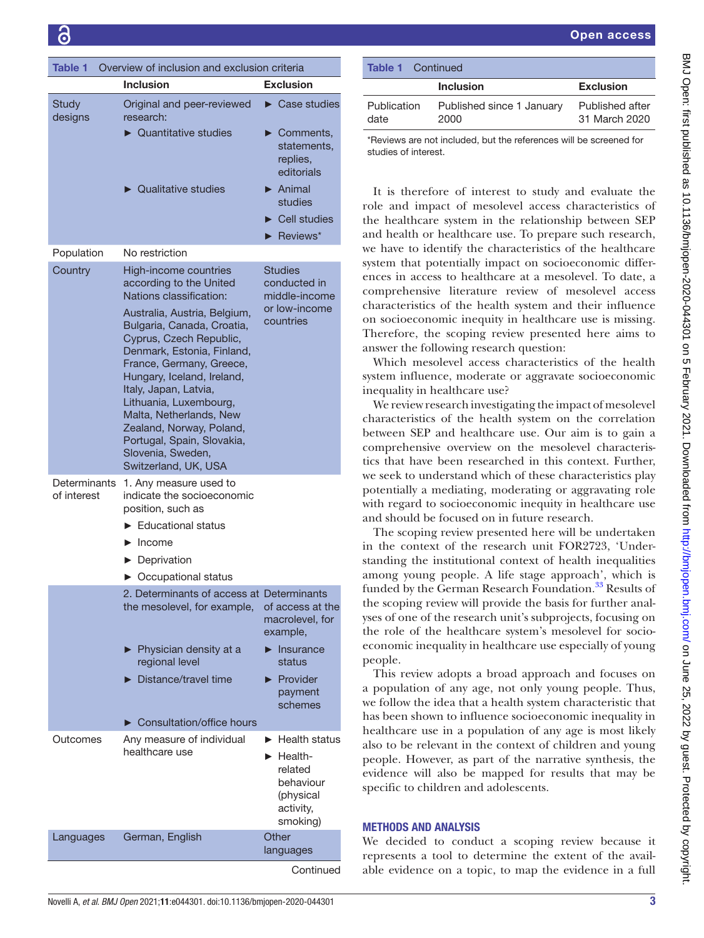<span id="page-2-0"></span>

| Overview of inclusion and exclusion criteria<br><b>Table 1</b> |                                                                                                                                                                                                                                                                                                                                                                    |                                                                                                                                    |  |  |  |
|----------------------------------------------------------------|--------------------------------------------------------------------------------------------------------------------------------------------------------------------------------------------------------------------------------------------------------------------------------------------------------------------------------------------------------------------|------------------------------------------------------------------------------------------------------------------------------------|--|--|--|
|                                                                | <b>Inclusion</b>                                                                                                                                                                                                                                                                                                                                                   | <b>Exclusion</b>                                                                                                                   |  |  |  |
| Study<br>designs                                               | Original and peer-reviewed<br>research:                                                                                                                                                                                                                                                                                                                            | $\triangleright$ Case studies                                                                                                      |  |  |  |
|                                                                | $\triangleright$ Quantitative studies                                                                                                                                                                                                                                                                                                                              | $\triangleright$ Comments,<br>statements,<br>replies,<br>editorials                                                                |  |  |  |
|                                                                | $\triangleright$ Qualitative studies                                                                                                                                                                                                                                                                                                                               | $\blacktriangleright$ Animal<br>studies<br>$\blacktriangleright$ Cell studies                                                      |  |  |  |
|                                                                |                                                                                                                                                                                                                                                                                                                                                                    | $\blacktriangleright$ Reviews*                                                                                                     |  |  |  |
| Population                                                     | No restriction                                                                                                                                                                                                                                                                                                                                                     |                                                                                                                                    |  |  |  |
| Country                                                        | High-income countries                                                                                                                                                                                                                                                                                                                                              |                                                                                                                                    |  |  |  |
|                                                                | according to the United<br>Nations classification:                                                                                                                                                                                                                                                                                                                 | <b>Studies</b><br>conducted in<br>middle-income                                                                                    |  |  |  |
|                                                                | Australia, Austria, Belgium,<br>Bulgaria, Canada, Croatia,<br>Cyprus, Czech Republic,<br>Denmark, Estonia, Finland,<br>France, Germany, Greece,<br>Hungary, Iceland, Ireland,<br>Italy, Japan, Latvia,<br>Lithuania, Luxembourg,<br>Malta, Netherlands, New<br>Zealand, Norway, Poland,<br>Portugal, Spain, Slovakia,<br>Slovenia, Sweden,<br>Switzerland, UK, USA | or low-income<br>countries                                                                                                         |  |  |  |
| Determinants<br>of interest                                    | 1. Any measure used to<br>indicate the socioeconomic<br>position, such as                                                                                                                                                                                                                                                                                          |                                                                                                                                    |  |  |  |
|                                                                | Educational status                                                                                                                                                                                                                                                                                                                                                 |                                                                                                                                    |  |  |  |
|                                                                | $\blacktriangleright$ Income                                                                                                                                                                                                                                                                                                                                       |                                                                                                                                    |  |  |  |
|                                                                | $\blacktriangleright$ Deprivation                                                                                                                                                                                                                                                                                                                                  |                                                                                                                                    |  |  |  |
|                                                                | • Occupational status                                                                                                                                                                                                                                                                                                                                              |                                                                                                                                    |  |  |  |
|                                                                | 2. Determinants of access at Determinants<br>the mesolevel, for example,                                                                                                                                                                                                                                                                                           | of access at the<br>macrolevel, for<br>example,                                                                                    |  |  |  |
|                                                                | ▶ Physician density at a<br>regional level                                                                                                                                                                                                                                                                                                                         | Insurance<br>▶<br>status                                                                                                           |  |  |  |
|                                                                | Distance/travel time                                                                                                                                                                                                                                                                                                                                               | Provider<br>▶<br>payment<br>schemes                                                                                                |  |  |  |
|                                                                | ▶ Consultation/office hours                                                                                                                                                                                                                                                                                                                                        |                                                                                                                                    |  |  |  |
| Outcomes                                                       | Any measure of individual<br>healthcare use                                                                                                                                                                                                                                                                                                                        | $\blacktriangleright$ Health status<br>$\blacktriangleright$ Health-<br>related<br>behaviour<br>(physical<br>activity,<br>smoking) |  |  |  |
| Languages                                                      | German, English                                                                                                                                                                                                                                                                                                                                                    | Other<br>languages                                                                                                                 |  |  |  |

**Continued** 

| <b>Table 1</b> Continued                                                                   |                                   |                                  |  |  |
|--------------------------------------------------------------------------------------------|-----------------------------------|----------------------------------|--|--|
|                                                                                            | <b>Inclusion</b>                  | <b>Exclusion</b>                 |  |  |
| Publication<br>date                                                                        | Published since 1 January<br>2000 | Published after<br>31 March 2020 |  |  |
| *Reviews are not included, but the references will be screened for<br>studies of interest. |                                   |                                  |  |  |

It is therefore of interest to study and evaluate the role and impact of mesolevel access characteristics of the healthcare system in the relationship between SEP and health or healthcare use. To prepare such research, we have to identify the characteristics of the healthcare system that potentially impact on socioeconomic differences in access to healthcare at a mesolevel. To date, a comprehensive literature review of mesolevel access characteristics of the health system and their influence on socioeconomic inequity in healthcare use is missing. Therefore, the scoping review presented here aims to answer the following research question:

Which mesolevel access characteristics of the health system influence, moderate or aggravate socioeconomic inequality in healthcare use?

We review research investigating the impact of mesolevel characteristics of the health system on the correlation between SEP and healthcare use. Our aim is to gain a comprehensive overview on the mesolevel characteristics that have been researched in this context. Further, we seek to understand which of these characteristics play potentially a mediating, moderating or aggravating role with regard to socioeconomic inequity in healthcare use and should be focused on in future research.

The scoping review presented here will be undertaken in the context of the research unit FOR2723, 'Understanding the institutional context of health inequalities among young people. A life stage approach', which is funded by the German Research Foundation.<sup>33</sup> Results of the scoping review will provide the basis for further analyses of one of the research unit's subprojects, focusing on the role of the healthcare system's mesolevel for socioeconomic inequality in healthcare use especially of young people.

This review adopts a broad approach and focuses on a population of any age, not only young people. Thus, we follow the idea that a health system characteristic that has been shown to influence socioeconomic inequality in healthcare use in a population of any age is most likely also to be relevant in the context of children and young people. However, as part of the narrative synthesis, the evidence will also be mapped for results that may be specific to children and adolescents.

# METHODS AND ANALYSIS

We decided to conduct a scoping review because it represents a tool to determine the extent of the available evidence on a topic, to map the evidence in a full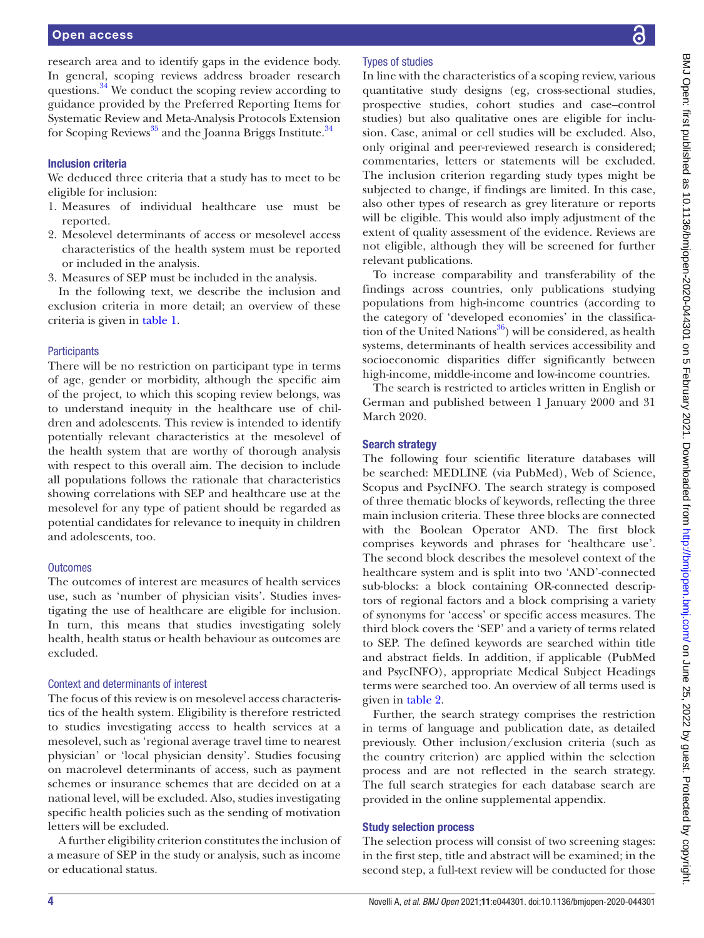research area and to identify gaps in the evidence body. In general, scoping reviews address broader research questions.<sup>34</sup> We conduct the scoping review according to guidance provided by the Preferred Reporting Items for Systematic Review and Meta-Analysis Protocols Extension for Scoping Reviews<sup>35</sup> and the Joanna Briggs Institute.<sup>[34](#page-6-7)</sup>

#### Inclusion criteria

We deduced three criteria that a study has to meet to be eligible for inclusion:

- 1. Measures of individual healthcare use must be reported.
- 2. Mesolevel determinants of access or mesolevel access characteristics of the health system must be reported or included in the analysis.
- 3. Measures of SEP must be included in the analysis.

In the following text, we describe the inclusion and exclusion criteria in more detail; an overview of these criteria is given in [table](#page-2-0) 1.

#### **Participants**

There will be no restriction on participant type in terms of age, gender or morbidity, although the specific aim of the project, to which this scoping review belongs, was to understand inequity in the healthcare use of children and adolescents. This review is intended to identify potentially relevant characteristics at the mesolevel of the health system that are worthy of thorough analysis with respect to this overall aim. The decision to include all populations follows the rationale that characteristics showing correlations with SEP and healthcare use at the mesolevel for any type of patient should be regarded as potential candidates for relevance to inequity in children and adolescents, too.

#### **Outcomes**

The outcomes of interest are measures of health services use, such as 'number of physician visits'. Studies investigating the use of healthcare are eligible for inclusion. In turn, this means that studies investigating solely health, health status or health behaviour as outcomes are excluded.

#### Context and determinants of interest

The focus of this review is on mesolevel access characteristics of the health system. Eligibility is therefore restricted to studies investigating access to health services at a mesolevel, such as 'regional average travel time to nearest physician' or 'local physician density'. Studies focusing on macrolevel determinants of access, such as payment schemes or insurance schemes that are decided on at a national level, will be excluded. Also, studies investigating specific health policies such as the sending of motivation letters will be excluded.

A further eligibility criterion constitutes the inclusion of a measure of SEP in the study or analysis, such as income or educational status.

# Types of studies

In line with the characteristics of a scoping review, various quantitative study designs (eg, cross-sectional studies, prospective studies, cohort studies and case–control studies) but also qualitative ones are eligible for inclusion. Case, animal or cell studies will be excluded. Also, only original and peer-reviewed research is considered; commentaries, letters or statements will be excluded. The inclusion criterion regarding study types might be subjected to change, if findings are limited. In this case, also other types of research as grey literature or reports will be eligible. This would also imply adjustment of the extent of quality assessment of the evidence. Reviews are not eligible, although they will be screened for further relevant publications.

To increase comparability and transferability of the findings across countries, only publications studying populations from high-income countries (according to the category of 'developed economies' in the classification of the United Nations $^{36}$ ) will be considered, as health systems, determinants of health services accessibility and socioeconomic disparities differ significantly between high-income, middle-income and low-income countries.

The search is restricted to articles written in English or German and published between 1 January 2000 and 31 March 2020.

#### Search strategy

The following four scientific literature databases will be searched: MEDLINE (via PubMed), Web of Science, Scopus and PsycINFO. The search strategy is composed of three thematic blocks of keywords, reflecting the three main inclusion criteria. These three blocks are connected with the Boolean Operator AND. The first block comprises keywords and phrases for 'healthcare use'. The second block describes the mesolevel context of the healthcare system and is split into two 'AND'-connected sub-blocks: a block containing OR-connected descriptors of regional factors and a block comprising a variety of synonyms for 'access' or specific access measures. The third block covers the 'SEP' and a variety of terms related to SEP. The defined keywords are searched within title and abstract fields. In addition, if applicable (PubMed and PsycINFO), appropriate Medical Subject Headings terms were searched too. An overview of all terms used is given in [table](#page-4-0) 2.

Further, the search strategy comprises the restriction in terms of language and publication date, as detailed previously. Other inclusion/exclusion criteria (such as the country criterion) are applied within the selection process and are not reflected in the search strategy. The full search strategies for each database search are provided in the [online supplemental appendix](https://dx.doi.org/10.1136/bmjopen-2020-044301).

#### Study selection process

The selection process will consist of two screening stages: in the first step, title and abstract will be examined; in the second step, a full-text review will be conducted for those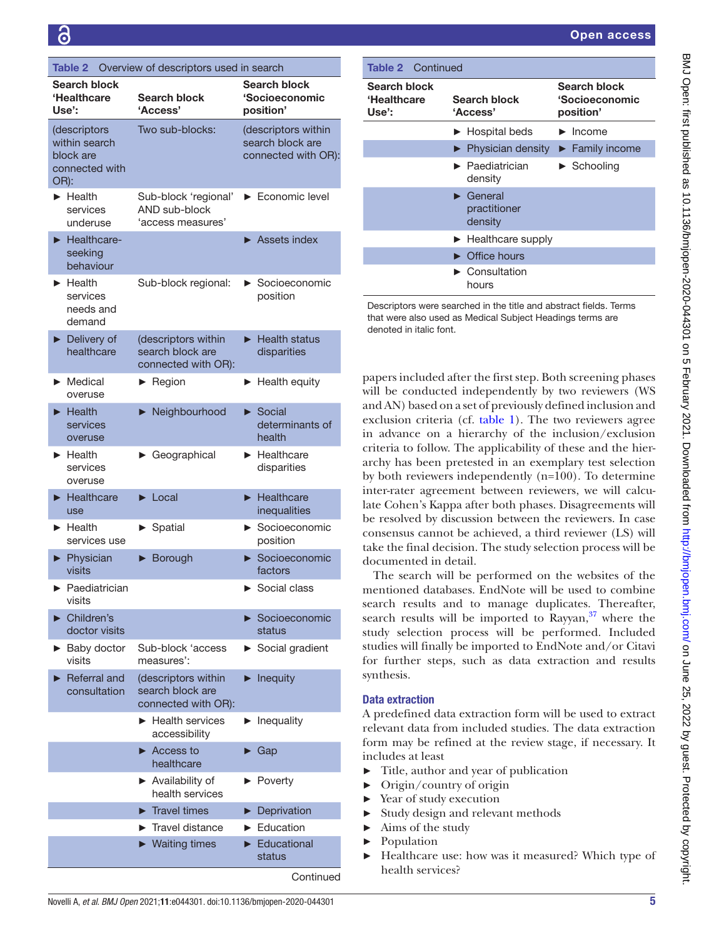<span id="page-4-0"></span>

| Overview of descriptors used in search<br><b>Table 2</b> |                                                              |                                                                |                         |                                                                |
|----------------------------------------------------------|--------------------------------------------------------------|----------------------------------------------------------------|-------------------------|----------------------------------------------------------------|
|                                                          | Search block<br>'Healthcare<br>Use':                         | Search block<br>'Access'                                       |                         | <b>Search block</b><br><b>'Socioeconomic</b><br>position'      |
| OR):                                                     | (descriptors<br>within search<br>block are<br>connected with | Two sub-blocks:                                                |                         | (descriptors within<br>search block are<br>connected with OR): |
|                                                          | $\blacktriangleright$ Health<br>services<br>underuse         | Sub-block 'regional'<br>AND sub-block<br>'access measures'     |                         | Economic level                                                 |
|                                                          | Healthcare-<br>seeking<br>behaviour                          |                                                                |                         | $\blacktriangleright$ Assets index                             |
| ▶                                                        | Health<br>services<br>needs and<br>demand                    | Sub-block regional:                                            | ▶                       | Socioeconomic<br>position                                      |
| ▶                                                        | Delivery of<br>healthcare                                    | (descriptors within<br>search block are<br>connected with OR): |                         | $\blacktriangleright$ Health status<br>disparities             |
|                                                          | $\blacktriangleright$ Medical<br>overuse                     | $\blacktriangleright$ Region                                   |                         | Health equity                                                  |
| ▶                                                        | Health<br>services<br>overuse                                | Neighbourhood                                                  | $\blacktriangleright$   | Social<br>determinants of<br>health                            |
|                                                          | $\blacktriangleright$ Health<br>services<br>overuse          | Geographical                                                   |                         | $\blacktriangleright$ Healthcare<br>disparities                |
| ▶                                                        | Healthcare<br>use                                            | $\blacktriangleright$ Local                                    | $\blacktriangleright$   | Healthcare<br>inequalities                                     |
|                                                          | $\blacktriangleright$ Health<br>services use                 | Spatial                                                        | $\blacktriangleright$ . | Socioeconomic<br>position                                      |
|                                                          | Physician<br>visits                                          | Borough                                                        |                         | $\triangleright$ Socioeconomic<br>factors                      |
|                                                          | $\blacktriangleright$ Paediatrician<br>visits                |                                                                |                         | $\blacktriangleright$ Social class                             |
|                                                          | Children's<br>doctor visits                                  |                                                                |                         | Socioeconomic<br>status                                        |
|                                                          | ► Baby doctor<br>visits                                      | Sub-block 'access<br>measures':                                | ▶                       | Social gradient                                                |
|                                                          | Referral and<br>consultation                                 | (descriptors within<br>search block are<br>connected with OR): | $\blacktriangleright$   | Inequity                                                       |
|                                                          |                                                              | ► Health services<br>accessibility                             |                         | $\blacktriangleright$ Inequality                               |
|                                                          |                                                              | $\blacktriangleright$ Access to<br>healthcare                  | ▶                       | Gap                                                            |
|                                                          |                                                              | $\blacktriangleright$ Availability of<br>health services       |                         | $\blacktriangleright$ Poverty                                  |
|                                                          |                                                              | $\blacktriangleright$ Travel times                             |                         | Deprivation                                                    |
|                                                          |                                                              | Travel distance                                                |                         | Education                                                      |
|                                                          |                                                              | $\blacktriangleright$ Waiting times                            |                         | Educational<br>status                                          |

| <b>Table 2</b> Continued             |                                                          |                                             |  |  |  |
|--------------------------------------|----------------------------------------------------------|---------------------------------------------|--|--|--|
| Search block<br>'Healthcare<br>Use': | Search block<br>'Access'                                 | Search block<br>'Socioeconomic<br>position' |  |  |  |
|                                      | $\blacktriangleright$ Hospital beds                      | $\blacktriangleright$ Income                |  |  |  |
|                                      | $\blacktriangleright$ Physician density                  | $\blacktriangleright$ Family income         |  |  |  |
|                                      | $\blacktriangleright$ Paediatrician<br>density           | $\blacktriangleright$ Schooling             |  |  |  |
|                                      | $\blacktriangleright$ General<br>practitioner<br>density |                                             |  |  |  |
|                                      | $\blacktriangleright$ Healthcare supply                  |                                             |  |  |  |
|                                      | $\triangleright$ Office hours                            |                                             |  |  |  |
|                                      | $\blacktriangleright$ Consultation<br>hours              |                                             |  |  |  |

Descriptors were searched in the title and abstract fields. Terms that were also used as Medical Subject Headings terms are denoted in italic font.

papers included after the first step. Both screening phases will be conducted independently by two reviewers (WS and AN) based on a set of previously defined inclusion and exclusion criteria (cf. [table](#page-2-0) 1). The two reviewers agree in advance on a hierarchy of the inclusion/exclusion criteria to follow. The applicability of these and the hierarchy has been pretested in an exemplary test selection by both reviewers independently (n=100). To determine inter-rater agreement between reviewers, we will calculate Cohen's Kappa after both phases. Disagreements will be resolved by discussion between the reviewers. In case consensus cannot be achieved, a third reviewer (LS) will take the final decision. The study selection process will be documented in detail.

The search will be performed on the websites of the mentioned databases. EndNote will be used to combine search results and to manage duplicates. Thereafter, search results will be imported to  $\overline{\text{Rayyan}}$ , where the study selection process will be performed. Included studies will finally be imported to EndNote and/or Citavi for further steps, such as data extraction and results synthesis.

# Data extraction

A predefined data extraction form will be used to extract relevant data from included studies. The data extraction form may be refined at the review stage, if necessary. It includes at least

- ► Title, author and year of publication
- ► Origin/country of origin
- Year of study execution
- Study design and relevant methods
- ► Aims of the study
- **Population**
- Healthcare use: how was it measured? Which type of health services?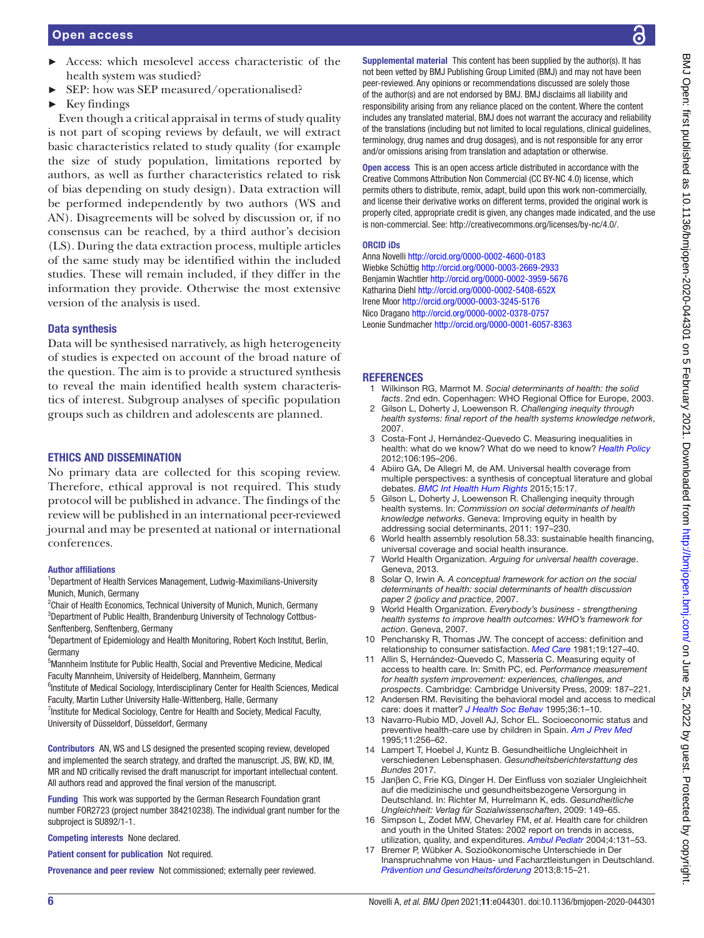- Access: which mesolevel access characteristic of the health system was studied?
- ► SEP: how was SEP measured/operationalised?
- $\blacktriangleright$  Key findings

Even though a critical appraisal in terms of study quality is not part of scoping reviews by default, we will extract basic characteristics related to study quality (for example the size of study population, limitations reported by authors, as well as further characteristics related to risk of bias depending on study design). Data extraction will be performed independently by two authors (WS and AN). Disagreements will be solved by discussion or, if no consensus can be reached, by a third author's decision (LS). During the data extraction process, multiple articles of the same study may be identified within the included studies. These will remain included, if they differ in the information they provide. Otherwise the most extensive version of the analysis is used.

# Data synthesis

Data will be synthesised narratively, as high heterogeneity of studies is expected on account of the broad nature of the question. The aim is to provide a structured synthesis to reveal the main identified health system characteristics of interest. Subgroup analyses of specific population groups such as children and adolescents are planned.

# ETHICS AND DISSEMINATION

No primary data are collected for this scoping review. Therefore, ethical approval is not required. This study protocol will be published in advance. The findings of the review will be published in an international peer-reviewed journal and may be presented at national or international conferences.

#### Author affiliations

<sup>1</sup>Department of Health Services Management, Ludwig-Maximilians-University Munich, Munich, Germany

<sup>2</sup> Chair of Health Economics, Technical University of Munich, Munich, Germany <sup>3</sup>Department of Public Health, Brandenburg University of Technology Cottbus-Senftenberg, Senftenberg, Germany

4 Department of Epidemiology and Health Monitoring, Robert Koch Institut, Berlin, Germany

<sup>5</sup>Mannheim Institute for Public Health, Social and Preventive Medicine, Medical Faculty Mannheim, University of Heidelberg, Mannheim, Germany

<sup>6</sup>Institute of Medical Sociology, Interdisciplinary Center for Health Sciences, Medical Faculty, Martin Luther University Halle-Wittenberg, Halle, Germany

<sup>7</sup>Institute for Medical Sociology, Centre for Health and Society, Medical Faculty, University of Düsseldorf, Düsseldorf, Germany

Contributors AN, WS and LS designed the presented scoping review, developed and implemented the search strategy, and drafted the manuscript. JS, BW, KD, IM, MR and ND critically revised the draft manuscript for important intellectual content. All authors read and approved the final version of the manuscript.

Funding This work was supported by the German Research Foundation grant number FOR2723 (project number 384210238). The individual grant number for the subproject is SU892/1-1.

Competing interests None declared.

Patient consent for publication Not required.

Provenance and peer review Not commissioned; externally peer reviewed.

Supplemental material This content has been supplied by the author(s). It has not been vetted by BMJ Publishing Group Limited (BMJ) and may not have been peer-reviewed. Any opinions or recommendations discussed are solely those of the author(s) and are not endorsed by BMJ. BMJ disclaims all liability and responsibility arising from any reliance placed on the content. Where the content includes any translated material, BMJ does not warrant the accuracy and reliability of the translations (including but not limited to local regulations, clinical guidelines, terminology, drug names and drug dosages), and is not responsible for any error and/or omissions arising from translation and adaptation or otherwise.

Open access This is an open access article distributed in accordance with the Creative Commons Attribution Non Commercial (CC BY-NC 4.0) license, which permits others to distribute, remix, adapt, build upon this work non-commercially, and license their derivative works on different terms, provided the original work is properly cited, appropriate credit is given, any changes made indicated, and the use is non-commercial. See: [http://creativecommons.org/licenses/by-nc/4.0/.](http://creativecommons.org/licenses/by-nc/4.0/)

#### ORCID iDs

Anna Novelli<http://orcid.org/0000-0002-4600-0183> Wiebke Schüttig <http://orcid.org/0000-0003-2669-2933> Benjamin Wachtler<http://orcid.org/0000-0002-3959-5676> Katharina Diehl <http://orcid.org/0000-0002-5408-652X> Irene Moor <http://orcid.org/0000-0003-3245-5176> Nico Dragano <http://orcid.org/0000-0002-0378-0757> Leonie Sundmacher <http://orcid.org/0000-0001-6057-8363>

# **REFERENCES**

- <span id="page-5-0"></span>1 Wilkinson RG, Marmot M. *Social determinants of health: the solid facts*. 2nd edn. Copenhagen: WHO Regional Office for Europe, 2003.
- <span id="page-5-1"></span>2 Gilson L, Doherty J, Loewenson R. *Challenging inequity through health systems: final report of the health systems knowledge network*, 2007.
- <span id="page-5-7"></span>3 Costa-Font J, Hernández-Quevedo C. Measuring inequalities in health: what do we know? What do we need to know? *[Health Policy](http://dx.doi.org/10.1016/j.healthpol.2012.04.007)* 2012;106:195–206.
- <span id="page-5-2"></span>4 Abiiro GA, De Allegri M, de AM. Universal health coverage from multiple perspectives: a synthesis of conceptual literature and global debates. *[BMC Int Health Hum Rights](http://dx.doi.org/10.1186/s12914-015-0056-9)* 2015;15:17.
- Gilson L, Doherty J, Loewenson R. Challenging inequity through health systems. In: *Commission on social determinants of health knowledge networks*. Geneva: Improving equity in health by addressing social determinants, 2011: 197–230.
- <span id="page-5-3"></span>6 World health assembly resolution 58.33: sustainable health financing, universal coverage and social health insurance.
- 7 World Health Organization. *Arguing for universal health coverage*. Geneva, 2013.
- 8 Solar O, Irwin A. *A conceptual framework for action on the social determinants of health: social determinants of health discussion paper 2 (policy and practice*, 2007.
- 9 World Health Organization. *Everybody's business strengthening health systems to improve health outcomes: WHO's framework for action*. Geneva, 2007.
- <span id="page-5-8"></span>10 Penchansky R, Thomas JW. The concept of access: definition and relationship to consumer satisfaction. *[Med Care](http://dx.doi.org/10.1097/00005650-198102000-00001)* 1981;19:127–40.
- 11 Allin S, Hernández-Quevedo C, Masseria C. Measuring equity of access to health care. In: Smith PC, ed. *Performance measurement for health system improvement: experiences, challenges, and prospects*. Cambridge: Cambridge University Press, 2009: 187–221.
- <span id="page-5-4"></span>12 Andersen RM. Revisiting the behavioral model and access to medical care: does it matter? *[J Health Soc Behav](http://dx.doi.org/10.2307/2137284)* 1995;36:1–10.
- <span id="page-5-5"></span>13 Navarro-Rubio MD, Jovell AJ, Schor EL. Socioeconomic status and preventive health-care use by children in Spain. *[Am J Prev Med](http://dx.doi.org/10.1016/S0749-3797(18)30455-0)* 1995;11:256–62.
- <span id="page-5-6"></span>14 Lampert T, Hoebel J, Kuntz B. Gesundheitliche Ungleichheit in verschiedenen Lebensphasen. *Gesundheitsberichterstattung des Bundes* 2017.
- 15 Janβen C, Frie KG, Dinger H. Der Einfluss von sozialer Ungleichheit auf die medizinische und gesundheitsbezogene Versorgung in Deutschland. In: Richter M, Hurrelmann K, eds. *Gesundheitliche Ungleichheit: Verlag für Sozialwissenschaften*, 2009: 149–65.
- 16 Simpson L, Zodet MW, Chevarley FM, *et al*. Health care for children and youth in the United States: 2002 report on trends in access, utilization, quality, and expenditures. *[Ambul Pediatr](http://dx.doi.org/10.1367/1539-4409(2004)4<131:HCFCAY>2.0.CO;2)* 2004;4:131–53.
- 17 Bremer P, Wübker A. Sozioökonomische Unterschiede in Der Inanspruchnahme von Haus- und Facharztleistungen in Deutschland. *[Prävention und Gesundheitsförderung](http://dx.doi.org/10.1007/s11553-012-0368-8)* 2013;8:15–21.